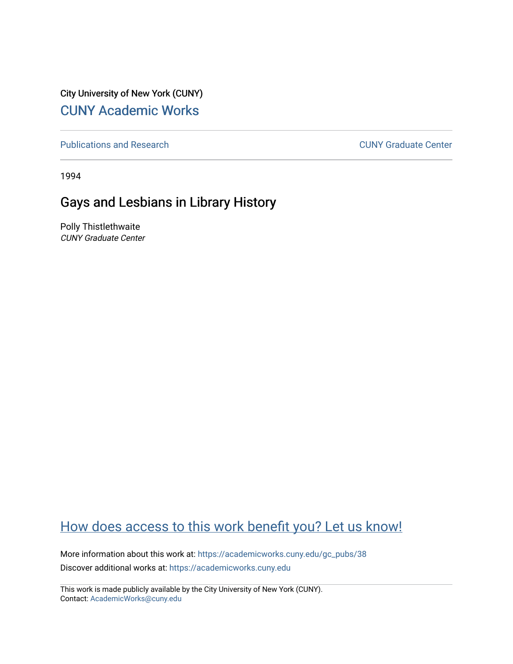City University of New York (CUNY) [CUNY Academic Works](https://academicworks.cuny.edu/) 

[Publications and Research](https://academicworks.cuny.edu/gc_pubs) [CUNY Graduate Center](https://academicworks.cuny.edu/gc) 

1994

## Gays and Lesbians in Library History

Polly Thistlethwaite CUNY Graduate Center

## [How does access to this work benefit you? Let us know!](http://ols.cuny.edu/academicworks/?ref=https://academicworks.cuny.edu/gc_pubs/38)

More information about this work at: [https://academicworks.cuny.edu/gc\\_pubs/38](https://academicworks.cuny.edu/gc_pubs/38)  Discover additional works at: [https://academicworks.cuny.edu](https://academicworks.cuny.edu/?)

This work is made publicly available by the City University of New York (CUNY). Contact: [AcademicWorks@cuny.edu](mailto:AcademicWorks@cuny.edu)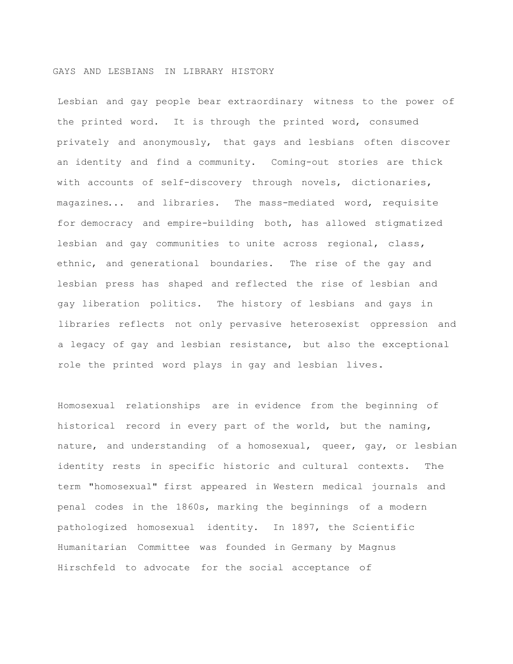## GAYS AND LESBIANS IN LIBRARY HISTORY

Lesbian and gay people bear extraordinary witness to the power of the printed word. It is through the printed word, consumed privately and anonymously, that gays and lesbians often discover an identity and find a community. Coming-out stories are thick with accounts of self-discovery through novels, dictionaries, magazines... and libraries. The mass-mediated word, requisite for democracy and empire-building both, has allowed stigmatized lesbian and gay communities to unite across regional, class, ethnic, and generational boundaries. The rise of the gay and lesbian press has shaped and reflected the rise of lesbian and gay liberation politics. The history of lesbians and gays in libraries reflects not only pervasive heterosexist oppression and a legacy of gay and lesbian resistance, but also the exceptional role the printed word plays in gay and lesbian lives.

Homosexual relationships are in evidence from the beginning of historical record in every part of the world, but the naming, nature, and understanding of a homosexual, queer, gay, or lesbian identity rests in specific historic and cultural contexts. The term "homosexual" first appeared in Western medical journals and penal codes in the 1860s, marking the beginnings of a modern pathologized homosexual identity. In 1897, the Scientific Humanitarian Committee was founded in Germany by Magnus Hirschfeld to advocate for the social acceptance of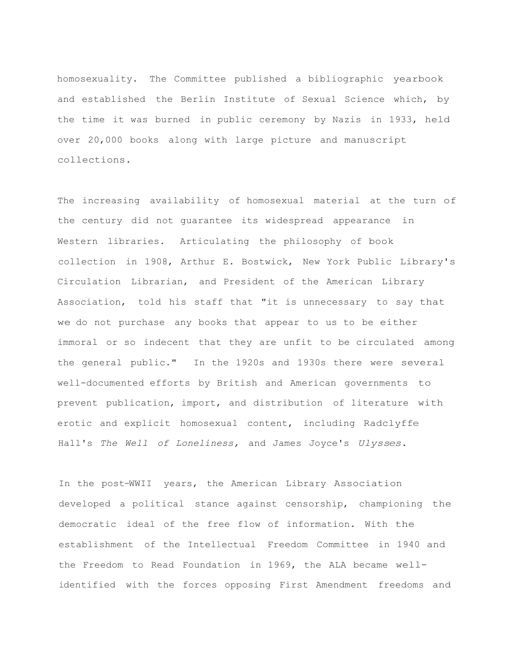homosexuality. The Committee published a bibliographic yearbook and established the Berlin Institute of Sexual Science which, by the time it was burned in public ceremony by Nazis in 1933, held over 20,000 books along with large picture and manuscript collections.

The increasing availability of homosexual material at the turn of the century did not guarantee its widespread appearance in Western libraries. Articulating the philosophy of book collection in 1908, Arthur E. Bostwick, New York Public Library's Circulation Librarian, and President of the American Library Association, told his staff that "it is unnecessary to say that we do not purchase any books that appear to us to be either immoral or so indecent that they are unfit to be circulated among the general public." In the 1920s and 1930s there were several well-documented efforts by British and American governments to prevent publication, import, and distribution of literature with erotic and explicit homosexual content, including Radclyffe Hall's *The Well of Loneliness,* and James Joyce's *Ulysses*.

In the post-WWII years, the American Library Association developed a political stance against censorship, championing the democratic ideal of the free flow of information. With the establishment of the Intellectual Freedom Committee in 1940 and the Freedom to Read Foundation in 1969, the ALA became wellidentified with the forces opposing First Amendment freedoms and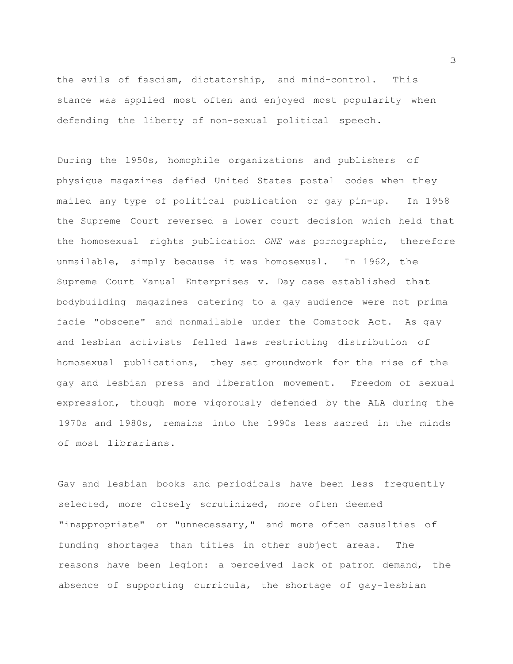the evils of fascism, dictatorship, and mind-control. This stance was applied most often and enjoyed most popularity when defending the liberty of non-sexual political speech.

During the 1950s, homophile organizations and publishers of physique magazines defied United States postal codes when they mailed any type of political publication or gay pin-up. In 1958 the Supreme Court reversed a lower court decision which held that the homosexual rights publication *ONE* was pornographic, therefore unmailable, simply because it was homosexual. In 1962, the Supreme Court Manual Enterprises v. Day case established that bodybuilding magazines catering to a gay audience were not prima facie "obscene" and nonmailable under the Comstock Act. As gay and lesbian activists felled laws restricting distribution of homosexual publications, they set groundwork for the rise of the gay and lesbian press and liberation movement. Freedom of sexual expression, though more vigorously defended by the ALA during the 1970s and 1980s, remains into the 1990s less sacred in the minds of most librarians.

Gay and lesbian books and periodicals have been less frequently selected, more closely scrutinized, more often deemed "inappropriate" or "unnecessary," and more often casualties of funding shortages than titles in other subject areas. The reasons have been legion: a perceived lack of patron demand, the absence of supporting curricula, the shortage of gay-lesbian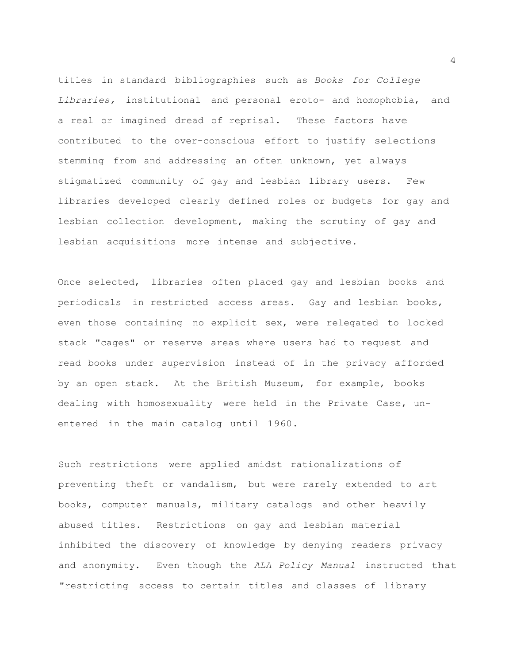titles in standard bibliographies such as *Books for College Libraries,* institutional and personal eroto- and homophobia, and a real or imagined dread of reprisal. These factors have contributed to the over-conscious effort to justify selections stemming from and addressing an often unknown, yet always stigmatized community of gay and lesbian library users. Few libraries developed clearly defined roles or budgets for gay and lesbian collection development, making the scrutiny of gay and lesbian acquisitions more intense and subjective.

Once selected, libraries often placed gay and lesbian books and periodicals in restricted access areas. Gay and lesbian books, even those containing no explicit sex, were relegated to locked stack "cages" or reserve areas where users had to request and read books under supervision instead of in the privacy afforded by an open stack. At the British Museum, for example, books dealing with homosexuality were held in the Private Case, unentered in the main catalog until 1960.

Such restrictions were applied amidst rationalizations of preventing theft or vandalism, but were rarely extended to art books, computer manuals, military catalogs and other heavily abused titles. Restrictions on gay and lesbian material inhibited the discovery of knowledge by denying readers privacy and anonymity. Even though the *ALA Policy Manual* instructed that "restricting access to certain titles and classes of library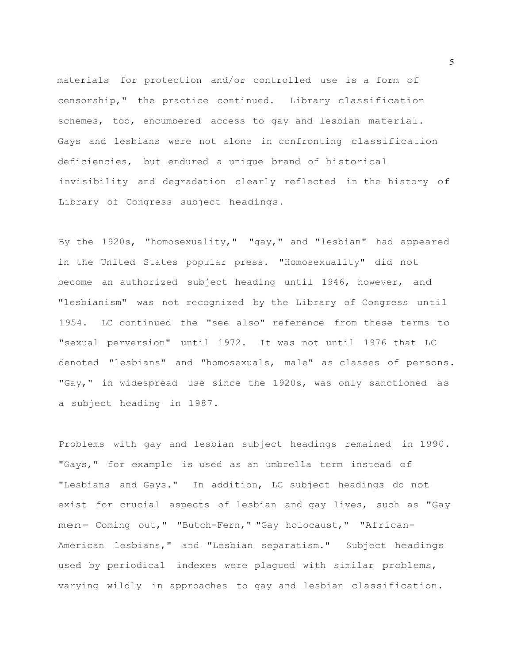materials for protection and/or controlled use is a form of censorship," the practice continued. Library classification schemes, too, encumbered access to gay and lesbian material. Gays and lesbians were not alone in confronting classification deficiencies, but endured a unique brand of historical invisibility and degradation clearly reflected in the history of Library of Congress subject headings.

By the 1920s, "homosexuality," "gay," and "lesbian" had appeared in the United States popular press. "Homosexuality" did not become an authorized subject heading until 1946, however, and "lesbianism" was not recognized by the Library of Congress until 1954. LC continued the "see also" reference from these terms to "sexual perversion" until 1972. It was not until 1976 that LC denoted "lesbians" and "homosexuals, male" as classes of persons. "Gay," in widespread use since the 1920s, was only sanctioned as a subject heading in 1987.

Problems with gay and lesbian subject headings remained in 1990. "Gays," for example is used as an umbrella term instead of "Lesbians and Gays." In addition, LC subject headings do not exist for crucial aspects of lesbian and gay lives, such as "Gay men- Coming out," "Butch-Fern," "Gay holocaust," "African-American lesbians," and "Lesbian separatism." Subject headings used by periodical indexes were plagued with similar problems, varying wildly in approaches to gay and lesbian classification.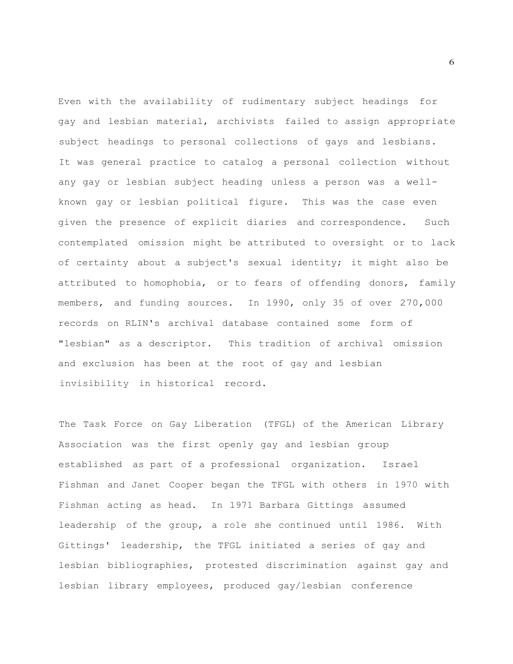Even with the availability of rudimentary subject headings for gay and lesbian material, archivists failed to assign appropriate subject headings to personal collections of gays and lesbians. It was general practice to catalog a personal collection without any gay or lesbian subject heading unless a person was a wellknown gay or lesbian political figure. This was the case even given the presence of explicit diaries and correspondence. Such contemplated omission might be attributed to oversight or to lack of certainty about a subject's sexual identity; it might also be attributed to homophobia, or to fears of offending donors, family members, and funding sources. In 1990, only 35 of over 270,000 records on RLIN's archival database contained some form of "lesbian" as a descriptor. This tradition of archival omission and exclusion has been at the root of gay and lesbian invisibility in historical record.

The Task Force on Gay Liberation (TFGL) of the American Library Association was the first openly gay and lesbian group established as part of a professional organization. Israel Fishman and Janet Cooper began the TFGL with others in 1970 with Fishman acting as head. In 1971 Barbara Gittings assumed leadership of the group, a role she continued until 1986. With Gittings' leadership, the TFGL initiated a series of gay and lesbian bibliographies, protested discrimination against gay and lesbian library employees, produced gay/lesbian conference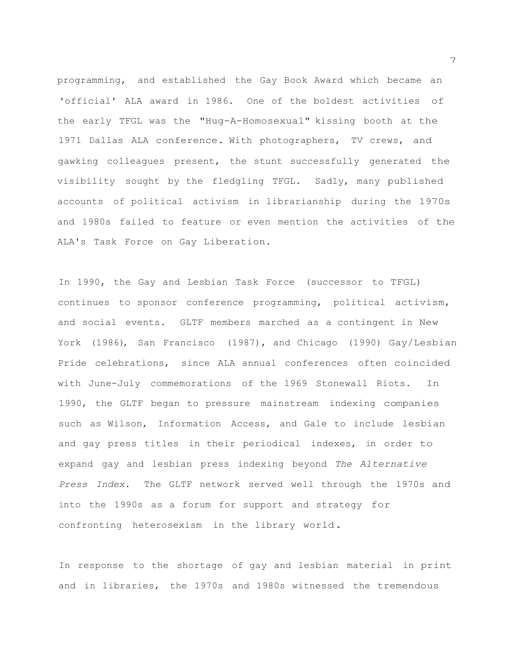programming, and established the Gay Book Award which became an 'official' ALA award in 1986. One of the boldest activities of the early TFGL was the "Hug-A-Homosexual" kissing booth at the <sup>1971</sup> Dallas ALA conference. With photographers, TV crews, and gawking colleagues present, the stunt successfully generated the visibility sought by the fledgling TFGL. Sadly, many published accounts of political activism in librarianship during the 1970s and 1980s failed to feature or even mention the activities of the ALA's Task Force on Gay Liberation.

In 1990, the Gay and Lesbian Task Force (successor to TFGL) continues to sponsor conference programming, political activism, and social events. GLTF members marched as a contingent in New York (1986), San Francisco (1987), and Chicago (1990) Gay/Lesbian Pride celebrations, since ALA annual conferences often coincided with June-July commemorations of the 1969 Stonewall Riots. In 1990, the GLTF began to pressure mainstream indexing companies such as Wilson, Information Access, and Gale to include lesbian and gay press titles in their periodical indexes, in order to expand gay and lesbian press indexing beyond *The Alternative Press Index*. The GLTF network served well through the 1970s and into the 1990s as a forum for support and strategy for confronting heterosexism in the library world.

In response to the shortage of gay and lesbian material in print and in libraries, the 1970s and 1980s witnessed the tremendous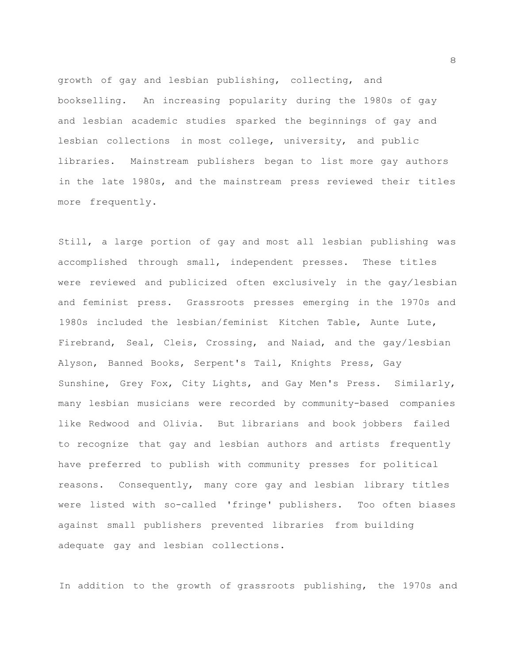growth of gay and lesbian publishing, collecting, and bookselling. An increasing popularity during the 1980s of gay and lesbian academic studies sparked the beginnings of gay and lesbian collections in most college, university, and public libraries. Mainstream publishers began to list more gay authors in the late 1980s, and the mainstream press reviewed their titles more frequently.

Still, a large portion of gay and most all lesbian publishing was accomplished through small, independent presses. These titles were reviewed and publicized often exclusively in the gay/lesbian and feminist press. Grassroots presses emerging in the 1970s and 1980s included the lesbian/feminist Kitchen Table, Aunte Lute, Firebrand, Seal, Cleis, Crossing, and Naiad, and the gay/lesbian Alyson, Banned Books, Serpent's Tail, Knights Press, Gay Sunshine, Grey Fox, City Lights, and Gay Men's Press. Similarly, many lesbian musicians were recorded by community-based companies like Redwood and Olivia. But librarians and book jobbers failed to recognize that gay and lesbian authors and artists frequently have preferred to publish with community presses for political reasons. Consequently, many core gay and lesbian library titles were listed with so-called 'fringe' publishers. Too often biases against small publishers prevented libraries from building adequate gay and lesbian collections.

In addition to the growth of grassroots publishing, the 1970s and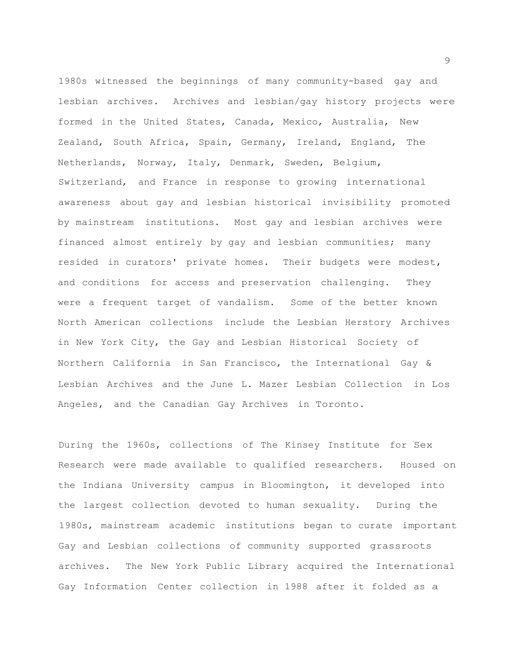1980s witnessed the beginnings of many community-based gay and lesbian archives. Archives and lesbian/gay history projects were formed in the United States, Canada, Mexico, Australia, New Zealand, South Africa, Spain, Germany, Ireland, England, The Netherlands, Norway, Italy, Denmark, Sweden, Belgium, Switzerland, and France in response to growing international awareness about gay and lesbian historical invisibility promoted by mainstream institutions. Most gay and lesbian archives were financed almost entirely by gay and lesbian communities; many resided in curators' private homes. Their budgets were modest, and conditions for access and preservation challenging. They were a frequent target of vandalism. Some of the better known North American collections include the Lesbian Herstory Archives in New York City, the Gay and Lesbian Historical Society of Northern California in San Francisco, the International Gay & Lesbian Archives and the June L. Mazer Lesbian Collection in Los Angeles, and the Canadian Gay Archives in Toronto.

During the 1960s, collections of The Kinsey Institute for Sex Research were made available to qualified researchers. Housed on the Indiana University campus in Bloomington, it developed into the largest collection devoted to human sexuality. During the 1980s, mainstream academic institutions began to curate important Gay and Lesbian collections of community supported grassroots archives. The New York Public Library acquired the International Gay Information Center collection in 1988 after it folded as a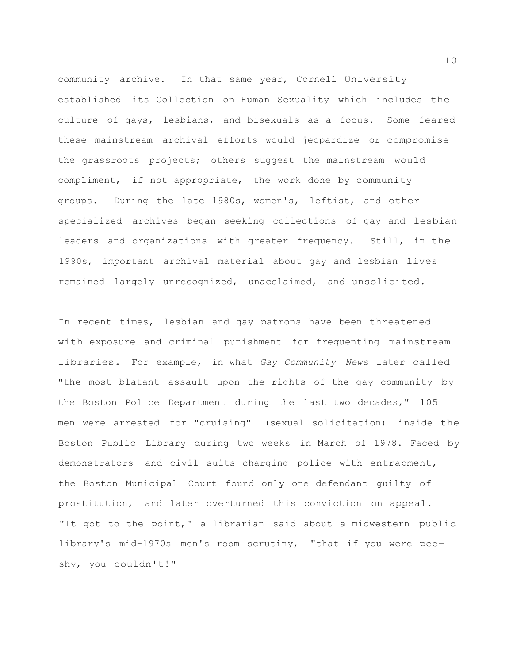community archive. In that same year, Cornell University established its Collection on Human Sexuality which includes the culture of gays, lesbians, and bisexuals as a focus. Some feared these mainstream archival efforts would jeopardize or compromise the grassroots projects; others suggest the mainstream would compliment, if not appropriate, the work done by community groups. During the late 1980s, women's, leftist, and other specialized archives began seeking collections of gay and lesbian leaders and organizations with greater frequency. Still, in the 1990s, important archival material about gay and lesbian lives remained largely unrecognized, unacclaimed, and unsolicited.

In recent times, lesbian and gay patrons have been threatened with exposure and criminal punishment for frequenting mainstream libraries. For example, in what *Gay Community News* later called "the most blatant assault upon the rights of the gay community by the Boston Police Department during the last two decades," 105 men were arrested for "cruising" (sexual solicitation) inside the Boston Public Library during two weeks in March of 1978. Faced by demonstrators and civil suits charging police with entrapment, the Boston Municipal Court found only one defendant guilty of prostitution, and later overturned this conviction on appeal. "It got to the point," a librarian said about a midwestern public library's mid-1970s men's room scrutiny, "that if you were peeshy, you couldn't!"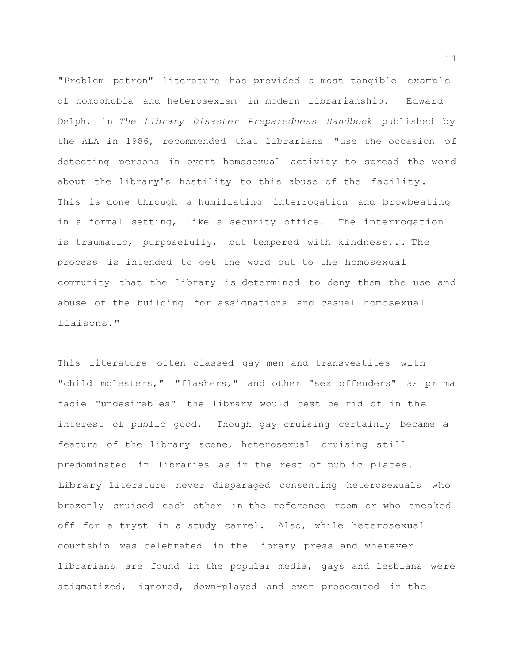"Problem patron" literature has provided a most tangible example of homophobia and heterosexism in modern librarianship. Edward Delph, in *The Library Disaster Preparedness Handbook* published by the ALA in 1986, recommended that librarians "use the occasion of detecting persons in overt homosexual activity to spread the word about the library's hostility to this abuse of the facility. This is done through a humiliating interrogation and browbeating in a formal setting, like a security office. The interrogation is traumatic, purposefully, but tempered with kindness... The process is intended to get the word out to the homosexual community that the library is determined to deny them the use and abuse of the building for assignations and casual homosexual liaisons."

This literature often classed gay men and transvestites with "child molesters," "flashers," and other "sex offenders" as prima facie "undesirables" the library would best be rid of in the interest of public good. Though gay cruising certainly became a feature of the library scene, heterosexual cruising still predominated in libraries as in the rest of public places. Library literature never disparaged consenting heterosexuals who brazenly cruised each other in the reference room or who sneaked off for a tryst in a study carrel. Also, while heterosexual courtship was celebrated in the library press and wherever librarians are found in the popular media, gays and lesbians were stigmatized, ignored, down-played and even prosecuted in the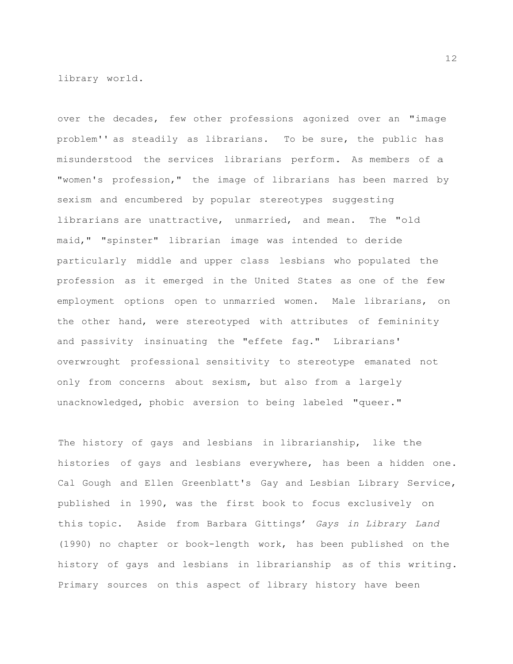library world.

over the decades, few other professions agonized over an "image problem'' as steadily as librarians. To be sure, the public has misunderstood the services librarians perform. As members of a "women's profession," the image of librarians has been marred by sexism and encumbered by popular stereotypes suggesting librarians are unattractive, unmarried, and mean. The "old maid," "spinster" librarian image was intended to deride particularly middle and upper class lesbians who populated the profession as it emerged in the United States as one of the few employment options open to unmarried women. Male librarians, on the other hand, were stereotyped with attributes of femininity and passivity insinuating the "effete fag." Librarians' overwrought professional sensitivity to stereotype emanated not only from concerns about sexism, but also from a largely unacknowledged, phobic aversion to being labeled "queer."

The history of gays and lesbians in librarianship, like the histories of gays and lesbians everywhere, has been a hidden one. Cal Gough and Ellen Greenblatt's Gay and Lesbian Library Service, published in 1990, was the first book to focus exclusively on this topic. Aside from Barbara Gittings' *Gays in Library Land* (1990) no chapter or book-length work, has been published on the history of gays and lesbians in librarianship as of this writing. Primary sources on this aspect of library history have been